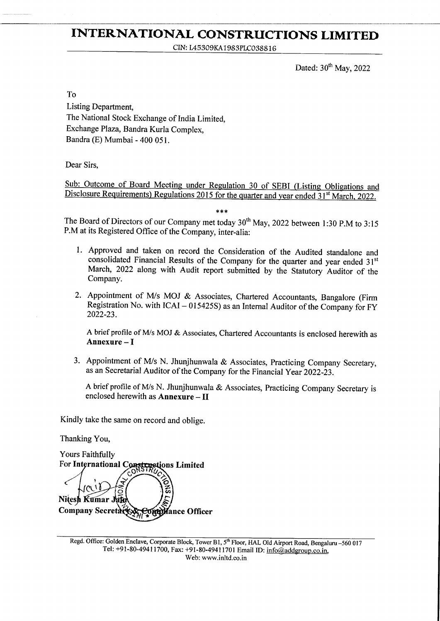### INTERNATIONAL CONSTRUCTIONS LIMITED

CIN: 145309KA1 983P1C0388 1 6

Dated:  $30<sup>th</sup>$  May, 2022

To

Listing Department, The National Stock Exchange of India Limited, Exchange Plaza, Bandra Kurla Complex, Bandra (E) Mumbai - 400 051.

Dear Sirs,

Sub: Outcome of Board Meeting under Regulation 30 of SEBI (Listing Obligations and Disclosure Requirements) Regulations 2015 for the quarter and year ended 31<sup>st</sup> March, 2022.

The Board of Directors of our Company met today  $30<sup>th</sup>$  May, 2022 between 1:30 P.M to 3:15 P.M at its Registered Office of the Company, inter-alia:

- l. Approved and taken on record the Consideration of the Audited standalone and consolidated Financial Results of the Company for the quarter and year ended 31<sup>st</sup> March, 2022 along with Audit report submitted by the Statutory Auditor of the Company.
- 2. Appointment of M/s MOJ & Associates, Chartered Accountants, Bangalore (Firm Registration No. with  $ICAI - 015425S$ ) as an Internal Auditor of the Company for FY 2022-23.

A brief profile of M/s MOJ & Associates, Chartered Accountants is enclosed herewith as Annexure - I

3. Appointment of M/s N. Jhunjhunwala & Associates, Practicing Company Secretary, as an Secretarial Auditor of the Company for the Financial Year 2022-23.

A brief profile of IWs N. Jhunjhunwala & Associates, Practicing Company Secretary is enclosed herewith as Annexure - If

Kindly take the same on record and oblige.

Thanking You,

Yours Faithfully For International Constructions Limited<br>
Mitesh Kumar Jaka<br>
Company Secretary Control ance Officer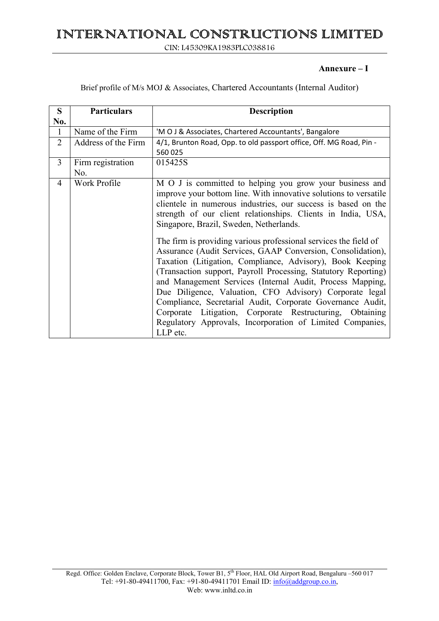## INTERNATIONAL CONSTRUCTIONS LIMITED

CIN: L45309KA1983PLC038816

### **Annexure – I**

Brief profile of M/s MOJ & Associates, Chartered Accountants (Internal Auditor)

| S              | <b>Particulars</b>       | <b>Description</b>                                                                                                                                                                                                                                                                                                                                                                                                                                                                                                                                                                                                                                                                                                                                                                                                                                                                                    |
|----------------|--------------------------|-------------------------------------------------------------------------------------------------------------------------------------------------------------------------------------------------------------------------------------------------------------------------------------------------------------------------------------------------------------------------------------------------------------------------------------------------------------------------------------------------------------------------------------------------------------------------------------------------------------------------------------------------------------------------------------------------------------------------------------------------------------------------------------------------------------------------------------------------------------------------------------------------------|
| No.            |                          |                                                                                                                                                                                                                                                                                                                                                                                                                                                                                                                                                                                                                                                                                                                                                                                                                                                                                                       |
| $\mathbf{1}$   | Name of the Firm         | 'MOJ & Associates, Chartered Accountants', Bangalore                                                                                                                                                                                                                                                                                                                                                                                                                                                                                                                                                                                                                                                                                                                                                                                                                                                  |
| $\overline{2}$ | Address of the Firm      | 4/1, Brunton Road, Opp. to old passport office, Off. MG Road, Pin -<br>560 025                                                                                                                                                                                                                                                                                                                                                                                                                                                                                                                                                                                                                                                                                                                                                                                                                        |
| $\overline{3}$ | Firm registration<br>No. | 015425S                                                                                                                                                                                                                                                                                                                                                                                                                                                                                                                                                                                                                                                                                                                                                                                                                                                                                               |
| 4              | Work Profile             | M O J is committed to helping you grow your business and<br>improve your bottom line. With innovative solutions to versatile<br>clientele in numerous industries, our success is based on the<br>strength of our client relationships. Clients in India, USA,<br>Singapore, Brazil, Sweden, Netherlands.<br>The firm is providing various professional services the field of<br>Assurance (Audit Services, GAAP Conversion, Consolidation),<br>Taxation (Litigation, Compliance, Advisory), Book Keeping<br>(Transaction support, Payroll Processing, Statutory Reporting)<br>and Management Services (Internal Audit, Process Mapping,<br>Due Diligence, Valuation, CFO Advisory) Corporate legal<br>Compliance, Secretarial Audit, Corporate Governance Audit,<br>Corporate Litigation, Corporate Restructuring, Obtaining<br>Regulatory Approvals, Incorporation of Limited Companies,<br>LLP etc. |